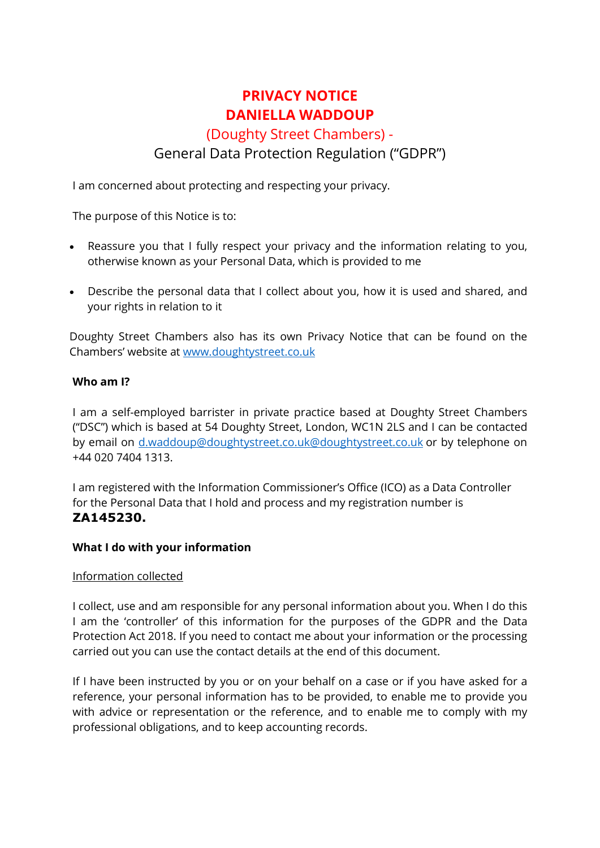# **PRIVACY NOTICE DANIELLA WADDOUP**

# (Doughty Street Chambers) - General Data Protection Regulation ("GDPR")

I am concerned about protecting and respecting your privacy.

The purpose of this Notice is to:

- Reassure you that I fully respect your privacy and the information relating to you, otherwise known as your Personal Data, which is provided to me
- Describe the personal data that I collect about you, how it is used and shared, and your rights in relation to it

Doughty Street Chambers also has its own Privacy Notice that can be found on the Chambers' website at [www.doughtystreet.co.uk](http://www.doughtystreet.co.uk/)

## **Who am I?**

I am a self-employed barrister in private practice based at Doughty Street Chambers ("DSC") which is based at 54 Doughty Street, London, WC1N 2LS and I can be contacted by email on [d.waddoup@doughtystreet.co.uk@doughtystreet.co.uk](mailto:d.waddoup@doughtystreet.co.uk@doughtystreet.co.uk) or by telephone on +44 020 7404 1313.

I am registered with the Information Commissioner's Office (ICO) as a Data Controller for the Personal Data that I hold and process and my registration number is **ZA145230.**

## **What I do with your information**

## Information collected

I collect, use and am responsible for any personal information about you. When I do this I am the 'controller' of this information for the purposes of the GDPR and the Data Protection Act 2018. If you need to contact me about your information or the processing carried out you can use the contact details at the end of this document.

If I have been instructed by you or on your behalf on a case or if you have asked for a reference, your personal information has to be provided, to enable me to provide you with advice or representation or the reference, and to enable me to comply with my professional obligations, and to keep accounting records.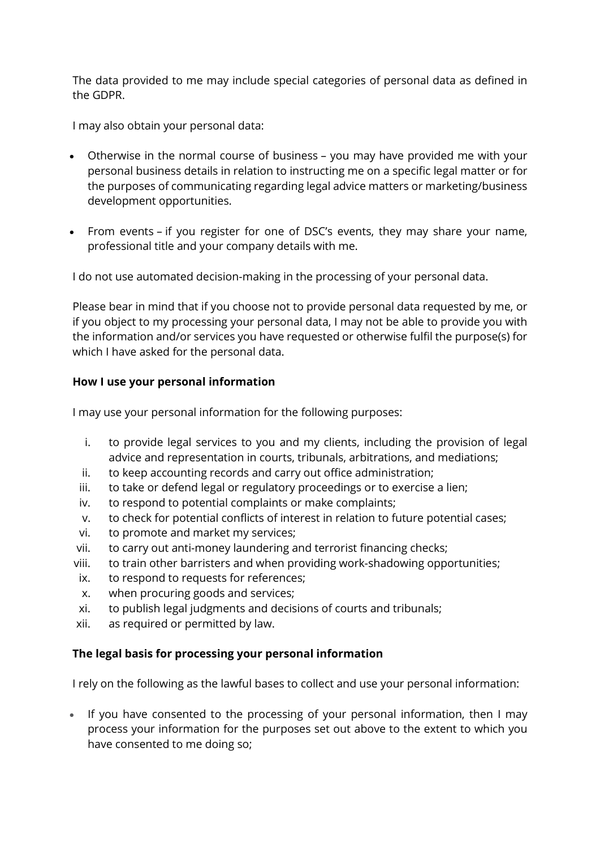The data provided to me may include special categories of personal data as defined in the GDPR.

I may also obtain your personal data:

- Otherwise in the normal course of business you may have provided me with your personal business details in relation to instructing me on a specific legal matter or for the purposes of communicating regarding legal advice matters or marketing/business development opportunities.
- From events if you register for one of DSC's events, they may share your name, professional title and your company details with me.

I do not use automated decision-making in the processing of your personal data.

Please bear in mind that if you choose not to provide personal data requested by me, or if you object to my processing your personal data, I may not be able to provide you with the information and/or services you have requested or otherwise fulfil the purpose(s) for which I have asked for the personal data.

## **How I use your personal information**

I may use your personal information for the following purposes:

- i. to provide legal services to you and my clients, including the provision of legal advice and representation in courts, tribunals, arbitrations, and mediations;
- ii. to keep accounting records and carry out office administration;
- iii. to take or defend legal or regulatory proceedings or to exercise a lien;
- iv. to respond to potential complaints or make complaints;
- v. to check for potential conflicts of interest in relation to future potential cases;
- vi. to promote and market my services;
- vii. to carry out anti-money laundering and terrorist financing checks;
- viii. to train other barristers and when providing work-shadowing opportunities;
- ix. to respond to requests for references;
- x. when procuring goods and services;
- xi. to publish legal judgments and decisions of courts and tribunals;
- xii. as required or permitted by law.

## **The legal basis for processing your personal information**

I rely on the following as the lawful bases to collect and use your personal information:

If you have consented to the processing of your personal information, then I may process your information for the purposes set out above to the extent to which you have consented to me doing so;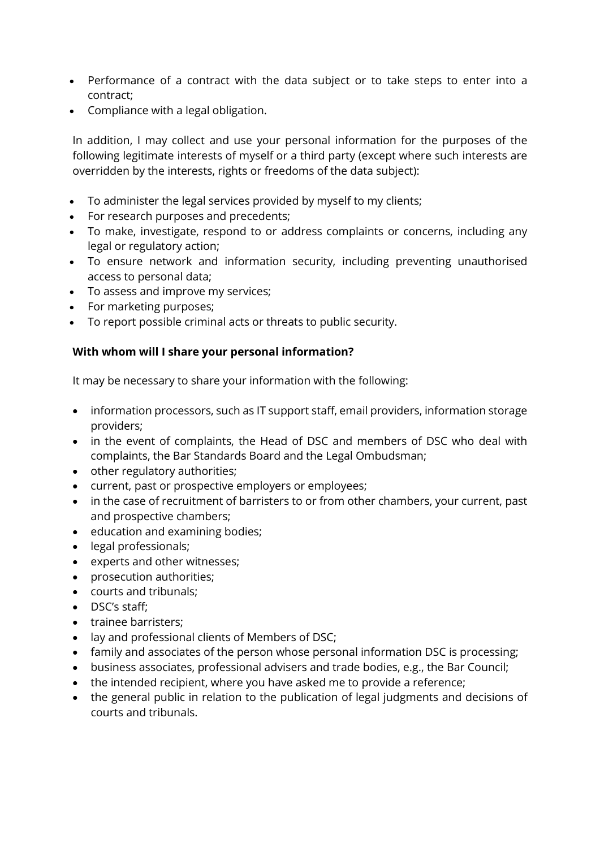- Performance of a contract with the data subject or to take steps to enter into a contract;
- Compliance with a legal obligation.

In addition, I may collect and use your personal information for the purposes of the following legitimate interests of myself or a third party (except where such interests are overridden by the interests, rights or freedoms of the data subject):

- To administer the legal services provided by myself to my clients;
- For research purposes and precedents;
- To make, investigate, respond to or address complaints or concerns, including any legal or regulatory action;
- To ensure network and information security, including preventing unauthorised access to personal data;
- To assess and improve my services;
- For marketing purposes;
- To report possible criminal acts or threats to public security.

## **With whom will I share your personal information?**

It may be necessary to share your information with the following:

- information processors, such as IT support staff, email providers, information storage providers;
- in the event of complaints, the Head of DSC and members of DSC who deal with complaints, the Bar Standards Board and the Legal Ombudsman;
- other regulatory authorities;
- current, past or prospective employers or employees;
- in the case of recruitment of barristers to or from other chambers, your current, past and prospective chambers;
- education and examining bodies;
- legal professionals;
- experts and other witnesses;
- prosecution authorities;
- courts and tribunals;
- DSC's staff;
- trainee barristers;
- lay and professional clients of Members of DSC;
- family and associates of the person whose personal information DSC is processing;
- business associates, professional advisers and trade bodies, e.g., the Bar Council;
- the intended recipient, where you have asked me to provide a reference;
- the general public in relation to the publication of legal judgments and decisions of courts and tribunals.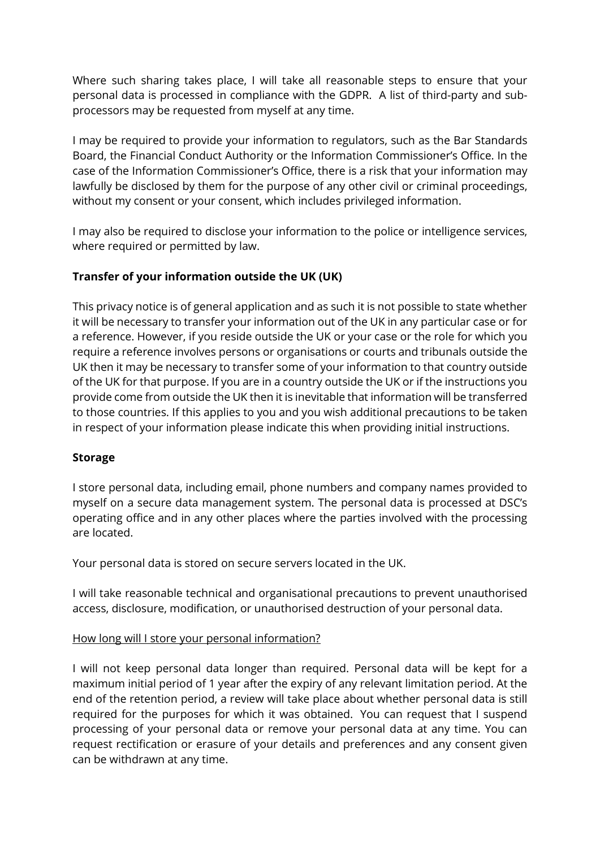Where such sharing takes place, I will take all reasonable steps to ensure that your personal data is processed in compliance with the GDPR. A list of third-party and subprocessors may be requested from myself at any time.

I may be required to provide your information to regulators, such as the Bar Standards Board, the Financial Conduct Authority or the Information Commissioner's Office. In the case of the Information Commissioner's Office, there is a risk that your information may lawfully be disclosed by them for the purpose of any other civil or criminal proceedings, without my consent or your consent, which includes privileged information.

I may also be required to disclose your information to the police or intelligence services, where required or permitted by law.

## **Transfer of your information outside the UK (UK)**

This privacy notice is of general application and as such it is not possible to state whether it will be necessary to transfer your information out of the UK in any particular case or for a reference. However, if you reside outside the UK or your case or the role for which you require a reference involves persons or organisations or courts and tribunals outside the UK then it may be necessary to transfer some of your information to that country outside of the UK for that purpose. If you are in a country outside the UK or if the instructions you provide come from outside the UK then it is inevitable that information will be transferred to those countries. If this applies to you and you wish additional precautions to be taken in respect of your information please indicate this when providing initial instructions.

## **Storage**

I store personal data, including email, phone numbers and company names provided to myself on a secure data management system. The personal data is processed at DSC's operating office and in any other places where the parties involved with the processing are located.

Your personal data is stored on secure servers located in the UK.

I will take reasonable technical and organisational precautions to prevent unauthorised access, disclosure, modification, or unauthorised destruction of your personal data.

## How long will I store your personal information?

I will not keep personal data longer than required. Personal data will be kept for a maximum initial period of 1 year after the expiry of any relevant limitation period. At the end of the retention period, a review will take place about whether personal data is still required for the purposes for which it was obtained. You can request that I suspend processing of your personal data or remove your personal data at any time. You can request rectification or erasure of your details and preferences and any consent given can be withdrawn at any time.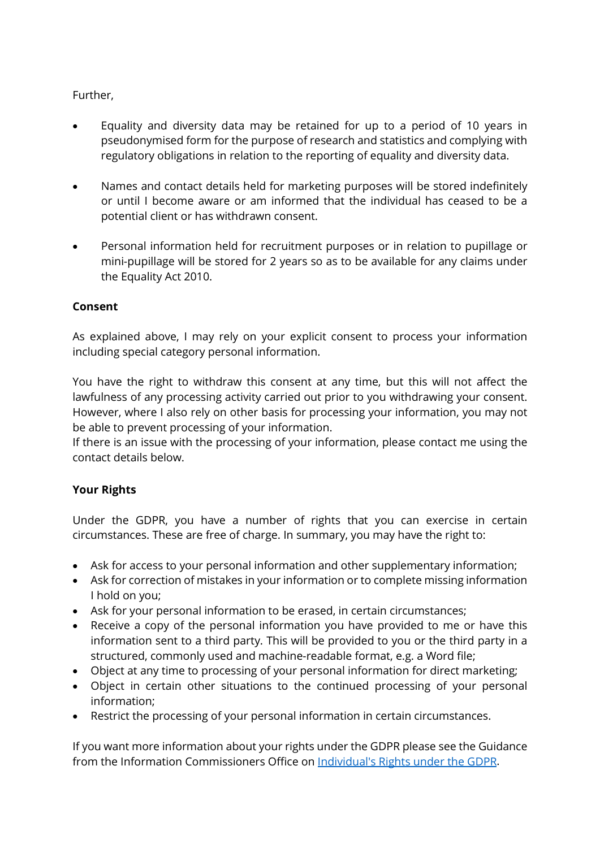# Further,

- Equality and diversity data may be retained for up to a period of 10 years in pseudonymised form for the purpose of research and statistics and complying with regulatory obligations in relation to the reporting of equality and diversity data.
- Names and contact details held for marketing purposes will be stored indefinitely or until I become aware or am informed that the individual has ceased to be a potential client or has withdrawn consent.
- Personal information held for recruitment purposes or in relation to pupillage or mini-pupillage will be stored for 2 years so as to be available for any claims under the Equality Act 2010.

## **Consent**

As explained above, I may rely on your explicit consent to process your information including special category personal information.

You have the right to withdraw this consent at any time, but this will not affect the lawfulness of any processing activity carried out prior to you withdrawing your consent. However, where I also rely on other basis for processing your information, you may not be able to prevent processing of your information.

If there is an issue with the processing of your information, please contact me using the contact details below.

# **Your Rights**

Under the GDPR, you have a number of rights that you can exercise in certain circumstances. These are free of charge. In summary, you may have the right to:

- Ask for access to your personal information and other supplementary information;
- Ask for correction of mistakes in your information or to complete missing information I hold on you;
- Ask for your personal information to be erased, in certain circumstances;
- Receive a copy of the personal information you have provided to me or have this information sent to a third party. This will be provided to you or the third party in a structured, commonly used and machine-readable format, e.g. a Word file;
- Object at any time to processing of your personal information for direct marketing;
- Object in certain other situations to the continued processing of your personal information;
- Restrict the processing of your personal information in certain circumstances.

If you want more information about your rights under the GDPR please see the Guidance from the Information Commissioners Office on [Individual's Rights under the GDPR.](http://ico.org.uk/for-organisations/guide-to-the-general-data-protection-regulation-gdpr/individual-rights/)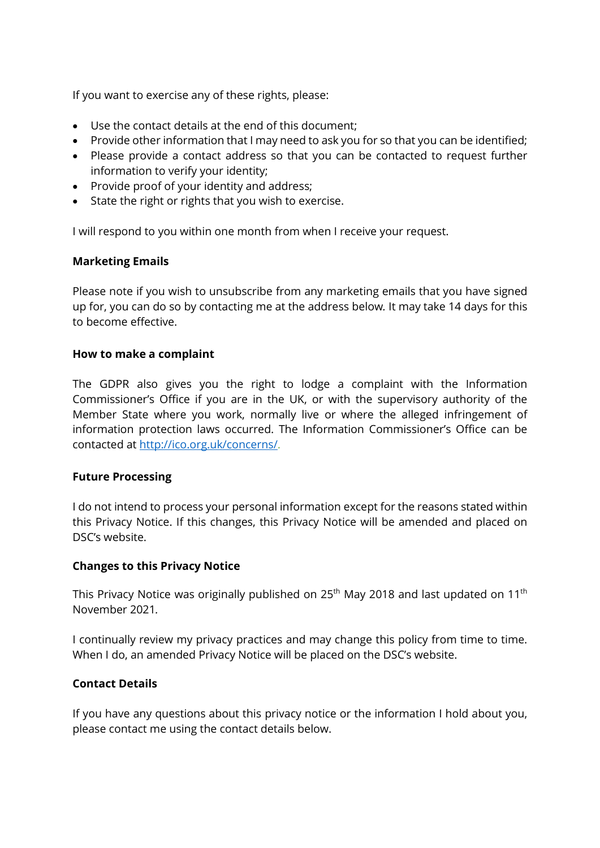If you want to exercise any of these rights, please:

- Use the contact details at the end of this document;
- Provide other information that I may need to ask you for so that you can be identified;
- Please provide a contact address so that you can be contacted to request further information to verify your identity;
- Provide proof of your identity and address;
- State the right or rights that you wish to exercise.

I will respond to you within one month from when I receive your request.

## **Marketing Emails**

Please note if you wish to unsubscribe from any marketing emails that you have signed up for, you can do so by contacting me at the address below*.* It may take 14 days for this to become effective.

#### **How to make a complaint**

The GDPR also gives you the right to lodge a complaint with the Information Commissioner's Office if you are in the UK, or with the supervisory authority of the Member State where you work, normally live or where the alleged infringement of information protection laws occurred. The Information Commissioner's Office can be contacted at [http://ico.org.uk/concerns/.](http://ico.org.uk/concerns/)

#### **Future Processing**

I do not intend to process your personal information except for the reasons stated within this Privacy Notice. If this changes, this Privacy Notice will be amended and placed on DSC's website.

#### **Changes to this Privacy Notice**

This Privacy Notice was originally published on  $25<sup>th</sup>$  May 2018 and last updated on 11<sup>th</sup> November 2021*.*

I continually review my privacy practices and may change this policy from time to time. When I do, an amended Privacy Notice will be placed on the DSC's website.

## **Contact Details**

If you have any questions about this privacy notice or the information I hold about you, please contact me using the contact details below.